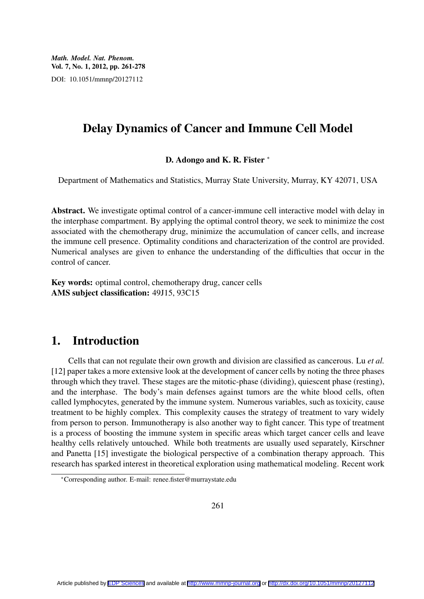# Delay Dynamics of Cancer and Immune Cell Model

D. Adongo and K. R. Fister *<sup>∗</sup>*

Department of Mathematics and Statistics, Murray State University, Murray, KY 42071, USA

Abstract. We investigate optimal control of a cancer-immune cell interactive model with delay in the interphase compartment. By applying the optimal control theory, we seek to minimize the cost associated with the chemotherapy drug, minimize the accumulation of cancer cells, and increase the immune cell presence. Optimality conditions and characterization of the control are provided. Numerical analyses are given to enhance the understanding of the difficulties that occur in the control of cancer.

Key words: optimal control, chemotherapy drug, cancer cells AMS subject classification: 49J15, 93C15

## 1. Introduction

Cells that can not regulate their own growth and division are classified as cancerous. Lu *et al.* [12] paper takes a more extensive look at the development of cancer cells by noting the three phases through which they travel. These stages are the mitotic-phase (dividing), quiescent phase (resting), and the interphase. The body's main defenses against tumors are the white blood cells, often called lymphocytes, generated by the immune system. Numerous variables, such as toxicity, cause treatment to be highly complex. This complexity causes the strategy of treatment to vary widely from person to person. Immunotherapy is also another way to fight cancer. This type of treatment is a process of boosting the immune system in specific areas which target cancer cells and leave healthy cells relatively untouched. While both treatments are usually used separately, Kirschner and Panetta [15] investigate the biological perspective of a combination therapy approach. This research has sparked interest in theoretical exploration using mathematical modeling. Recent work

*<sup>∗</sup>*Corresponding author. E-mail: renee.fister@murraystate.edu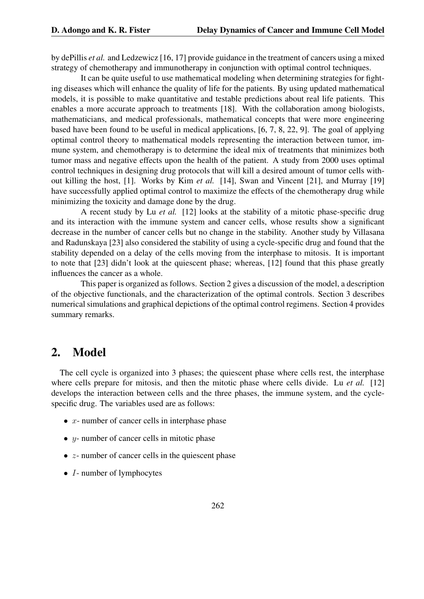by dePillis *et al.* and Ledzewicz [16, 17] provide guidance in the treatment of cancers using a mixed strategy of chemotherapy and immunotherapy in conjunction with optimal control techniques.

It can be quite useful to use mathematical modeling when determining strategies for fighting diseases which will enhance the quality of life for the patients. By using updated mathematical models, it is possible to make quantitative and testable predictions about real life patients. This enables a more accurate approach to treatments [18]. With the collaboration among biologists, mathematicians, and medical professionals, mathematical concepts that were more engineering based have been found to be useful in medical applications, [6, 7, 8, 22, 9]. The goal of applying optimal control theory to mathematical models representing the interaction between tumor, immune system, and chemotherapy is to determine the ideal mix of treatments that minimizes both tumor mass and negative effects upon the health of the patient. A study from 2000 uses optimal control techniques in designing drug protocols that will kill a desired amount of tumor cells without killing the host, [1]. Works by Kim *et al.* [14], Swan and Vincent [21], and Murray [19] have successfully applied optimal control to maximize the effects of the chemotherapy drug while minimizing the toxicity and damage done by the drug.

A recent study by Lu *et al.* [12] looks at the stability of a mitotic phase-specific drug and its interaction with the immune system and cancer cells, whose results show a significant decrease in the number of cancer cells but no change in the stability. Another study by Villasana and Radunskaya [23] also considered the stability of using a cycle-specific drug and found that the stability depended on a delay of the cells moving from the interphase to mitosis. It is important to note that [23] didn't look at the quiescent phase; whereas, [12] found that this phase greatly influences the cancer as a whole.

This paper is organized as follows. Section 2 gives a discussion of the model, a description of the objective functionals, and the characterization of the optimal controls. Section 3 describes numerical simulations and graphical depictions of the optimal control regimens. Section 4 provides summary remarks.

## 2. Model

The cell cycle is organized into 3 phases; the quiescent phase where cells rest, the interphase where cells prepare for mitosis, and then the mitotic phase where cells divide. Lu *et al.* [12] develops the interaction between cells and the three phases, the immune system, and the cyclespecific drug. The variables used are as follows:

- *• x* number of cancer cells in interphase phase
- *• y* number of cancer cells in mitotic phase
- *• z* number of cancer cells in the quiescent phase
- *• I* number of lymphocytes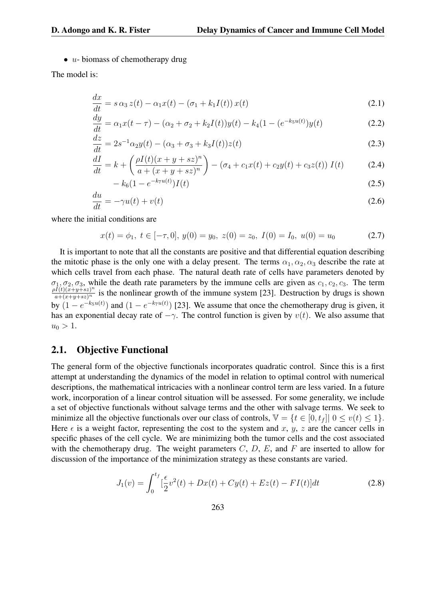• *u*- biomass of chemotherapy drug

The model is:

$$
\frac{dx}{dt} = s \alpha_3 z(t) - \alpha_1 x(t) - (\sigma_1 + k_1 I(t)) x(t)
$$
\n(2.1)

$$
\frac{dy}{dt} = \alpha_1 x(t - \tau) - (\alpha_2 + \sigma_2 + k_2 I(t))y(t) - k_4(1 - (e^{-k_5 u(t)})y(t)
$$
\n(2.2)

$$
\frac{dz}{dt} = 2s^{-1}\alpha_2 y(t) - (\alpha_3 + \sigma_3 + k_3 I(t))z(t)
$$
\n(2.3)

$$
\frac{dI}{dt} = k + \left(\frac{\rho I(t)(x+y+sz)^n}{a+(x+y+sz)^n}\right) - \left(\sigma_4 + c_1 x(t) + c_2 y(t) + c_3 z(t)\right) I(t) \tag{2.4}
$$

$$
-k_6(1 - e^{-k_7 u(t)})I(t)
$$
\n(2.5)

$$
\frac{du}{dt} = -\gamma u(t) + v(t) \tag{2.6}
$$

where the initial conditions are

$$
x(t) = \phi_1, \ t \in [-\tau, 0], \ y(0) = y_0, \ z(0) = z_0, \ I(0) = I_0, \ u(0) = u_0 \tag{2.7}
$$

It is important to note that all the constants are positive and that differential equation describing the mitotic phase is the only one with a delay present. The terms  $\alpha_1, \alpha_2, \alpha_3$  describe the rate at which cells travel from each phase. The natural death rate of cells have parameters denoted by  $\sigma_1, \sigma_2, \sigma_3$ , while the death rate parameters by the immune cells are given as  $c_1, c_2, c_3$ . The term  $\frac{\rho I(t)(\bar{x}+y+s\bar{z})^n}{a+(x+y+s\bar{z})^n}$  is the nonlinear growth of the immune system [23]. Destruction by drugs is shown by  $(1 - e^{-k_5 u(t)})$  and  $(1 - e^{-k_7 u(t)})$  [23]. We assume that once the chemotherapy drug is given, it has an exponential decay rate of  $-\gamma$ . The control function is given by  $v(t)$ . We also assume that  $u_0 > 1$ .

#### 2.1. Objective Functional

The general form of the objective functionals incorporates quadratic control. Since this is a first attempt at understanding the dynamics of the model in relation to optimal control with numerical descriptions, the mathematical intricacies with a nonlinear control term are less varied. In a future work, incorporation of a linear control situation will be assessed. For some generality, we include a set of objective functionals without salvage terms and the other with salvage terms. We seek to minimize all the objective functionals over our class of controls,  $\mathbb{V} = \{t \in [0, t_f] | 0 \le v(t) \le 1\}$ . Here  $\epsilon$  is a weight factor, representing the cost to the system and *x*, *y*, *z* are the cancer cells in specific phases of the cell cycle. We are minimizing both the tumor cells and the cost associated with the chemotherapy drug. The weight parameters  $C, D, E$ , and  $F$  are inserted to allow for discussion of the importance of the minimization strategy as these constants are varied.

$$
J_1(v) = \int_0^{t_f} \left[\frac{\epsilon}{2}v^2(t) + Dx(t) + Cy(t) + Ez(t) - FI(t)\right]dt
$$
\n(2.8)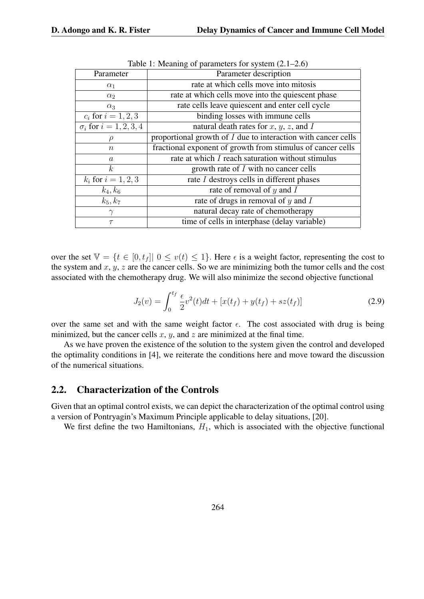| rable 1. Meaning or parameters for system $(z, 1, z, 0)$ |                                                                 |  |  |  |  |
|----------------------------------------------------------|-----------------------------------------------------------------|--|--|--|--|
| Parameter                                                | Parameter description                                           |  |  |  |  |
| $\alpha_1$                                               | rate at which cells move into mitosis                           |  |  |  |  |
| $\alpha_2$                                               | rate at which cells move into the quiescent phase               |  |  |  |  |
| $\alpha_3$                                               | rate cells leave quiescent and enter cell cycle                 |  |  |  |  |
| $c_i$ for $i = 1, 2, 3$                                  | binding losses with immune cells                                |  |  |  |  |
| $\sigma_i$ for $i = 1, 2, 3, 4$                          | natural death rates for $x, y, z$ , and I                       |  |  |  |  |
| $\rm \rho$                                               | proportional growth of $I$ due to interaction with cancer cells |  |  |  |  |
| $\it{n}$                                                 | fractional exponent of growth from stimulus of cancer cells     |  |  |  |  |
| $\mathfrak a$                                            | rate at which I reach saturation without stimulus               |  |  |  |  |
| $k_{\parallel}$                                          | growth rate of I with no cancer cells                           |  |  |  |  |
| $k_i$ for $i = 1, 2, 3$                                  | rate I destroys cells in different phases                       |  |  |  |  |
| $k_4, k_6$                                               | rate of removal of $y$ and $I$                                  |  |  |  |  |
| $k_5, k_7$                                               | rate of drugs in removal of $y$ and $I$                         |  |  |  |  |
| $\gamma$                                                 | natural decay rate of chemotherapy                              |  |  |  |  |
| $\tau$                                                   | time of cells in interphase (delay variable)                    |  |  |  |  |

|  | Table 1: Meaning of parameters for system $(2.1–2.6)$ |  |
|--|-------------------------------------------------------|--|
|--|-------------------------------------------------------|--|

over the set  $\mathbb{V} = \{t \in [0, t_f] | 0 \le v(t) \le 1\}$ . Here  $\epsilon$  is a weight factor, representing the cost to the system and *x*, *y*, *z* are the cancer cells. So we are minimizing both the tumor cells and the cost associated with the chemotherapy drug. We will also minimize the second objective functional

$$
J_2(v) = \int_0^{t_f} \frac{\epsilon}{2} v^2(t) dt + [x(t_f) + y(t_f) + sz(t_f)]
$$
\n(2.9)

over the same set and with the same weight factor *ϵ*. The cost associated with drug is being minimized, but the cancer cells *x*, *y*, and *z* are minimized at the final time.

As we have proven the existence of the solution to the system given the control and developed the optimality conditions in [4], we reiterate the conditions here and move toward the discussion of the numerical situations.

#### 2.2. Characterization of the Controls

Given that an optimal control exists, we can depict the characterization of the optimal control using a version of Pontryagin's Maximum Principle applicable to delay situations, [20].

We first define the two Hamiltonians,  $H_1$ , which is associated with the objective functional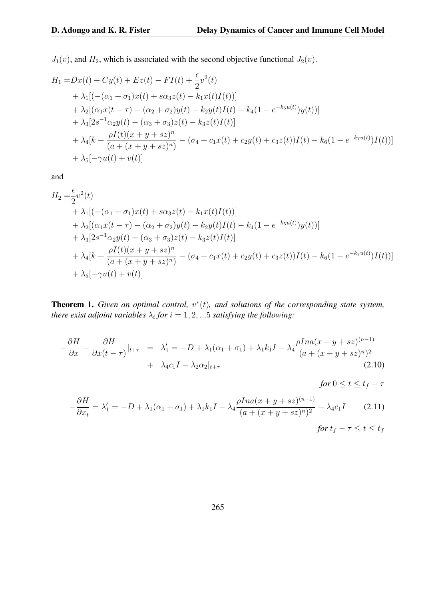$J_1(v)$ , and  $H_2$ , which is associated with the second objective functional  $J_2(v)$ .

$$
H_1 = Dx(t) + Cy(t) + Ez(t) - FI(t) + \frac{\epsilon}{2}v^2(t)
$$
  
+  $\lambda_1[(-(\alpha_1 + \sigma_1)x(t) + s\alpha_3z(t) - k_1x(t)I(t))]$   
+  $\lambda_2[(\alpha_1x(t - \tau) - (\alpha_2 + \sigma_2)y(t) - k_2y(t)I(t) - k_4(1 - e^{-k_5u(t)})y(t))]$   
+  $\lambda_3[2s^{-1}\alpha_2y(t) - (\alpha_3 + \sigma_3)z(t) - k_3z(t)I(t)]$   
+  $\lambda_4[k + \frac{\rho I(t)(x + y + sz)^n}{(a + (x + y + sz)^n)} - (\sigma_4 + c_1x(t) + c_2y(t) + c_3z(t))I(t) - k_6(1 - e^{-k_7u(t)})I(t))]$   
+  $\lambda_5[-\gamma u(t) + v(t)]$ 

and

*−*

$$
H_2 = \frac{\epsilon}{2}v^2(t)
$$
  
+  $\lambda_1[(-(\alpha_1 + \sigma_1)x(t) + s\alpha_3z(t) - k_1x(t)I(t))]$   
+  $\lambda_2[(\alpha_1x(t - \tau) - (\alpha_2 + \sigma_2)y(t) - k_2y(t)I(t) - k_4(1 - e^{-k_5u(t)})y(t))]$   
+  $\lambda_3[2s^{-1}\alpha_2y(t) - (\alpha_3 + \sigma_3)z(t) - k_3z(t)I(t)]$   
+  $\lambda_4[k + \frac{\rho I(t)(x + y + sz)^n}{(a + (x + y + sz)^n)} - (\sigma_4 + c_1x(t) + c_2y(t) + c_3z(t))I(t) - k_6(1 - e^{-k_7u(t)})I(t))]$   
+  $\lambda_5[-\gamma u(t) + v(t)]$ 

**Theorem 1.** Given an optimal control,  $v^*(t)$ , and solutions of the corresponding state system, *there exist adjoint variables*  $\lambda_i$  *for*  $i = 1, 2, ...5$  *satisfying the following:* 

$$
-\frac{\partial H}{\partial x} - \frac{\partial H}{\partial x(t-\tau)}|_{t+\tau} = \lambda'_1 = -D + \lambda_1(\alpha_1 + \sigma_1) + \lambda_1 k_1 I - \lambda_4 \frac{\rho Ina(x+y+sz)^{(n-1)}}{(a+(x+y+sz)^n)^2}
$$
  
+  $\lambda_4 c_1 I - \lambda_2 \alpha_2|_{t+\tau}$  (2.10)

*for*  $0 \le t \le t_f - \tau$ *∂H ∂x<sup>t</sup>*  $= \lambda'_1 = -D + \lambda_1(\alpha_1 + \sigma_1) + \lambda_1 k_1 I - \lambda_4$  $\beta$ *Ina*( $x + y + sz$ )<sup>(*n*−1)</sup>  $\frac{(a + (x + y + sz))^2}{(a + (x + y + sz)^n)^2} + \lambda_4 c_1 I$  (2.11)

*for*  $t_f - \tau \leq t \leq t_f$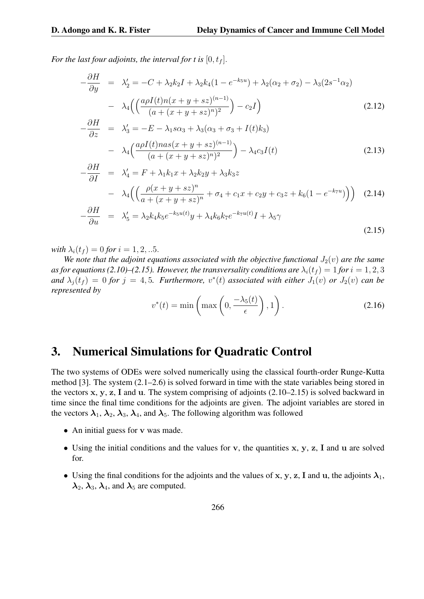*For the last four adjoints, the interval for t is*  $[0, t_f]$ *.* 

$$
-\frac{\partial H}{\partial y} = \lambda_2' = -C + \lambda_2 k_2 I + \lambda_2 k_4 (1 - e^{-k_5 u}) + \lambda_2 (\alpha_2 + \sigma_2) - \lambda_3 (2s^{-1} \alpha_2)
$$

$$
- \lambda_4 \Big( \Big( \frac{a \rho I(t) n (x + y + sz)^{(n-1)}}{(a + (x + y + sz)^n)^2} \Big) - c_2 I \Big)
$$
(2.12)

$$
-\frac{\partial H}{\partial z} = \lambda_3' = -E - \lambda_1 s \alpha_3 + \lambda_3 (\alpha_3 + \sigma_3 + I(t) k_3)
$$

$$
- \lambda_4 \left( \frac{a \rho I(t) n a s (x + y + s z)^{(n-1)}}{(a + (x + y + s z)^n)^2} \right) - \lambda_4 c_3 I(t)
$$
(2.13)

$$
-\frac{\partial H}{\partial I} = \lambda_4' = F + \lambda_1 k_1 x + \lambda_2 k_2 y + \lambda_3 k_3 z
$$
  
\n
$$
- \lambda_4 \Big( \Big( \frac{\rho(x + y + sz)^n}{a + (x + y + sz)^n} + \sigma_4 + c_1 x + c_2 y + c_3 z + k_6 (1 - e^{-k_7 u}) \Big) \Big) \quad (2.14)
$$
  
\n
$$
-\frac{\partial H}{\partial u} = \lambda_5' = \lambda_2 k_4 k_5 e^{-k_5 u(t)} y + \lambda_4 k_6 k_7 e^{-k_7 u(t)} I + \lambda_5 \gamma
$$

*with*  $\lambda_i(t_f) = 0$  *for*  $i = 1, 2, ...5$ *.* 

*We note that the adjoint equations associated with the objective functional*  $J_2(v)$  *are the same as for equations (2.10)–(2.15). However, the transversality conditions are*  $\lambda_i(t_f) = 1$  *for*  $i = 1, 2, 3$ and  $\lambda_j(t_f) = 0$  for  $j = 4, 5$ . Furthermore,  $v^*(t)$  associated with either  $J_1(v)$  or  $J_2(v)$  can be *represented by*

$$
v^*(t) = \min\left(\max\left(0, \frac{-\lambda_5(t)}{\epsilon}\right), 1\right). \tag{2.16}
$$

(2.15)

### 3. Numerical Simulations for Quadratic Control

The two systems of ODEs were solved numerically using the classical fourth-order Runge-Kutta method [3]. The system (2.1–2.6) is solved forward in time with the state variables being stored in the vectors **x**, **y**, **z**, **I** and **u**. The system comprising of adjoints (2.10–2.15) is solved backward in time since the final time conditions for the adjoints are given. The adjoint variables are stored in the vectors  $\lambda_1$ ,  $\lambda_2$ ,  $\lambda_3$ ,  $\lambda_4$ , and  $\lambda_5$ . The following algorithm was followed

- *•* An initial guess for **v** was made.
- *•* Using the initial conditions and the values for **v**, the quantities **x**, **y**, **z**, **I** and **u** are solved for.
- Using the final conditions for the adjoints and the values of **x**, **y**, **z**, **I** and **u**, the adjoints  $\lambda_1$ ,  $\lambda_2$ ,  $\lambda_3$ ,  $\lambda_4$ , and  $\lambda_5$  are computed.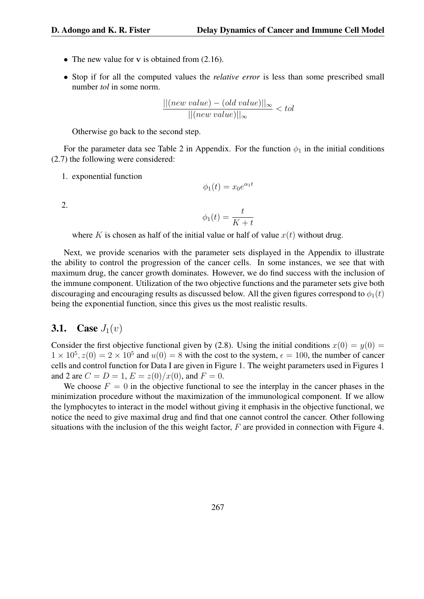- The new value for **v** is obtained from  $(2.16)$ .
- *•* Stop if for all the computed values the *relative error* is less than some prescribed small number *tol* in some norm.

$$
\frac{||(new\ value) - (old\ value)||_{\infty}}{||(new\ value)||_{\infty}} < tol
$$

Otherwise go back to the second step.

For the parameter data see Table 2 in Appendix. For the function  $\phi_1$  in the initial conditions (2.7) the following were considered:

1. exponential function

$$
2. \quad
$$

$$
\phi_1(t) = \frac{t}{K+t}
$$

 $\phi_1(t) = x_0 e^{\alpha_1 t}$ 

where *K* is chosen as half of the initial value or half of value  $x(t)$  without drug.

Next, we provide scenarios with the parameter sets displayed in the Appendix to illustrate the ability to control the progression of the cancer cells. In some instances, we see that with maximum drug, the cancer growth dominates. However, we do find success with the inclusion of the immune component. Utilization of the two objective functions and the parameter sets give both discouraging and encouraging results as discussed below. All the given figures correspond to  $\phi_1(t)$ being the exponential function, since this gives us the most realistic results.

#### **3.1.** Case  $J_1(v)$

Consider the first objective functional given by (2.8). Using the initial conditions  $x(0) = y(0) =$  $1 \times 10^5$ ,  $z(0) = 2 \times 10^5$  and  $u(0) = 8$  with the cost to the system,  $\epsilon = 100$ , the number of cancer cells and control function for Data I are given in Figure 1. The weight parameters used in Figures 1 and 2 are  $C = D = 1$ ,  $E = z(0)/x(0)$ , and  $F = 0$ .

We choose  $F = 0$  in the objective functional to see the interplay in the cancer phases in the minimization procedure without the maximization of the immunological component. If we allow the lymphocytes to interact in the model without giving it emphasis in the objective functional, we notice the need to give maximal drug and find that one cannot control the cancer. Other following situations with the inclusion of the this weight factor, *F* are provided in connection with Figure 4.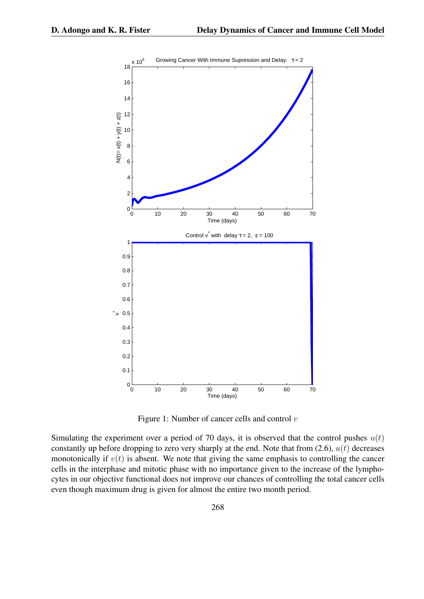

Figure 1: Number of cancer cells and control *v*

Simulating the experiment over a period of 70 days, it is observed that the control pushes  $u(t)$ constantly up before dropping to zero very sharply at the end. Note that from (2.6), *u*(*t*) decreases monotonically if  $v(t)$  is absent. We note that giving the same emphasis to controlling the cancer cells in the interphase and mitotic phase with no importance given to the increase of the lymphocytes in our objective functional does not improve our chances of controlling the total cancer cells even though maximum drug is given for almost the entire two month period.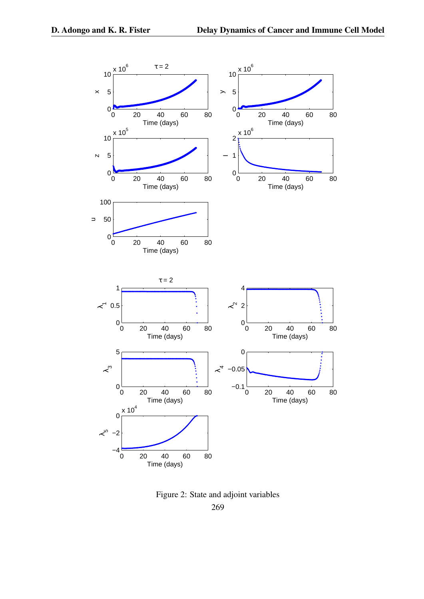

Figure 2: State and adjoint variables 269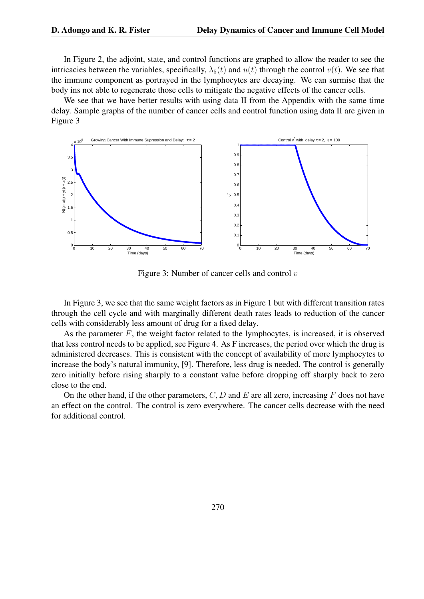In Figure 2, the adjoint, state, and control functions are graphed to allow the reader to see the intricacies between the variables, specifically,  $\lambda_5(t)$  and  $u(t)$  through the control  $v(t)$ . We see that the immune component as portrayed in the lymphocytes are decaying. We can surmise that the body ins not able to regenerate those cells to mitigate the negative effects of the cancer cells.

We see that we have better results with using data II from the Appendix with the same time delay. Sample graphs of the number of cancer cells and control function using data II are given in Figure 3



Figure 3: Number of cancer cells and control *v*

In Figure 3, we see that the same weight factors as in Figure 1 but with different transition rates through the cell cycle and with marginally different death rates leads to reduction of the cancer cells with considerably less amount of drug for a fixed delay.

As the parameter *F*, the weight factor related to the lymphocytes, is increased, it is observed that less control needs to be applied, see Figure 4. As F increases, the period over which the drug is administered decreases. This is consistent with the concept of availability of more lymphocytes to increase the body's natural immunity, [9]. Therefore, less drug is needed. The control is generally zero initially before rising sharply to a constant value before dropping off sharply back to zero close to the end.

On the other hand, if the other parameters, *C, D* and *E* are all zero, increasing *F* does not have an effect on the control. The control is zero everywhere. The cancer cells decrease with the need for additional control.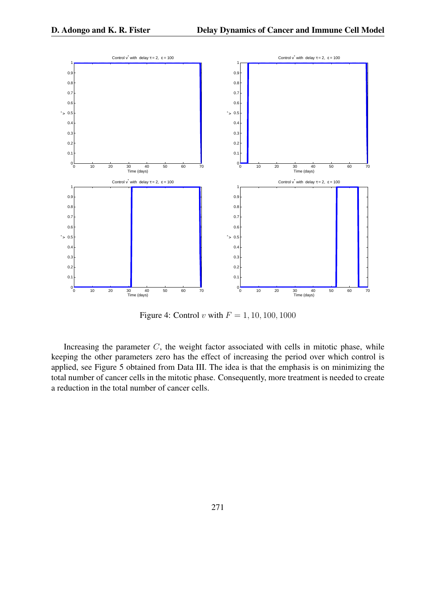

Figure 4: Control *v* with  $F = 1, 10, 100, 1000$ 

Increasing the parameter *C*, the weight factor associated with cells in mitotic phase, while keeping the other parameters zero has the effect of increasing the period over which control is applied, see Figure 5 obtained from Data III. The idea is that the emphasis is on minimizing the total number of cancer cells in the mitotic phase. Consequently, more treatment is needed to create a reduction in the total number of cancer cells.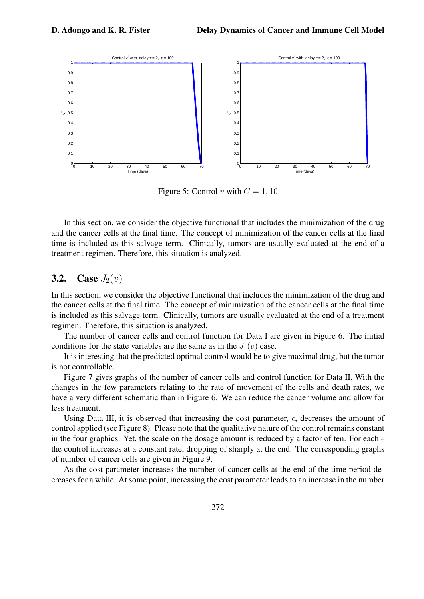

Figure 5: Control *v* with  $C = 1, 10$ 

In this section, we consider the objective functional that includes the minimization of the drug and the cancer cells at the final time. The concept of minimization of the cancer cells at the final time is included as this salvage term. Clinically, tumors are usually evaluated at the end of a treatment regimen. Therefore, this situation is analyzed.

### **3.2.** Case  $J_2(v)$

In this section, we consider the objective functional that includes the minimization of the drug and the cancer cells at the final time. The concept of minimization of the cancer cells at the final time is included as this salvage term. Clinically, tumors are usually evaluated at the end of a treatment regimen. Therefore, this situation is analyzed.

The number of cancer cells and control function for Data I are given in Figure 6. The initial conditions for the state variables are the same as in the  $J_1(v)$  case.

It is interesting that the predicted optimal control would be to give maximal drug, but the tumor is not controllable.

Figure 7 gives graphs of the number of cancer cells and control function for Data II. With the changes in the few parameters relating to the rate of movement of the cells and death rates, we have a very different schematic than in Figure 6. We can reduce the cancer volume and allow for less treatment.

Using Data III, it is observed that increasing the cost parameter,  $\epsilon$ , decreases the amount of control applied (see Figure 8). Please note that the qualitative nature of the control remains constant in the four graphics. Yet, the scale on the dosage amount is reduced by a factor of ten. For each  $\epsilon$ the control increases at a constant rate, dropping of sharply at the end. The corresponding graphs of number of cancer cells are given in Figure 9.

As the cost parameter increases the number of cancer cells at the end of the time period decreases for a while. At some point, increasing the cost parameter leads to an increase in the number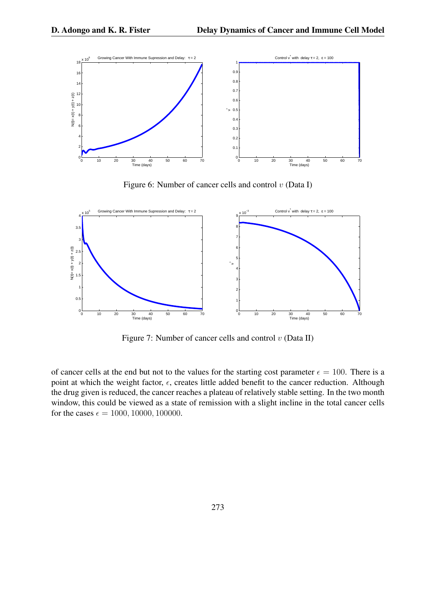

Figure 6: Number of cancer cells and control *v* (Data I)



Figure 7: Number of cancer cells and control *v* (Data II)

of cancer cells at the end but not to the values for the starting cost parameter  $\epsilon = 100$ . There is a point at which the weight factor, *ϵ*, creates little added benefit to the cancer reduction. Although the drug given is reduced, the cancer reaches a plateau of relatively stable setting. In the two month window, this could be viewed as a state of remission with a slight incline in the total cancer cells for the cases  $\epsilon = 1000, 10000, 100000$ .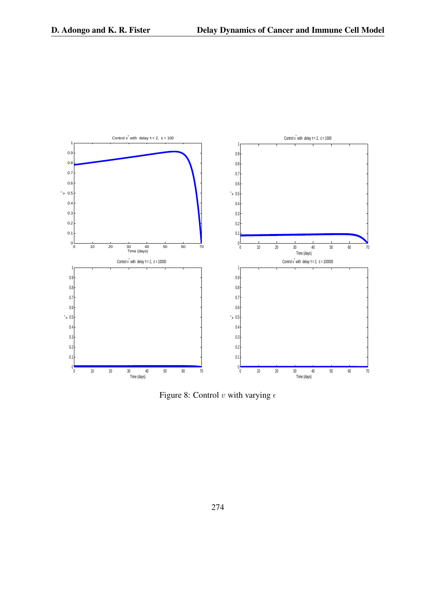

Figure 8: Control *v* with varying  $\epsilon$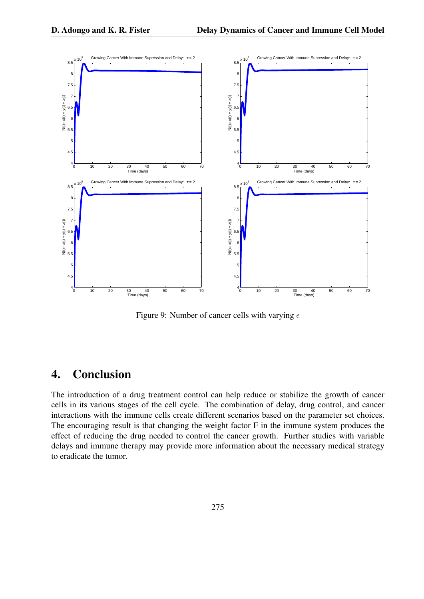

Figure 9: Number of cancer cells with varying *ϵ*

## 4. Conclusion

The introduction of a drug treatment control can help reduce or stabilize the growth of cancer cells in its various stages of the cell cycle. The combination of delay, drug control, and cancer interactions with the immune cells create different scenarios based on the parameter set choices. The encouraging result is that changing the weight factor F in the immune system produces the effect of reducing the drug needed to control the cancer growth. Further studies with variable delays and immune therapy may provide more information about the necessary medical strategy to eradicate the tumor.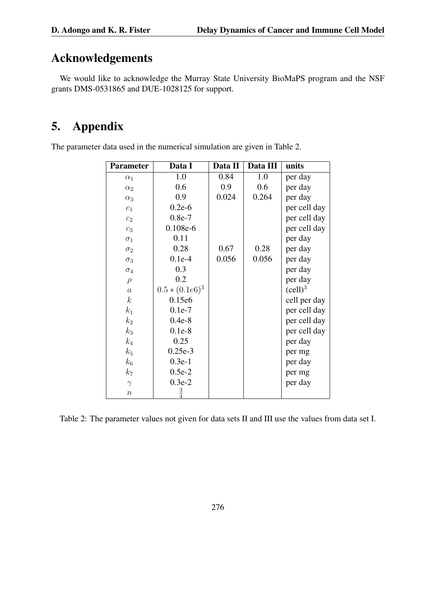## Acknowledgements

We would like to acknowledge the Murray State University BioMaPS program and the NSF grants DMS-0531865 and DUE-1028125 for support.

# 5. Appendix

The parameter data used in the numerical simulation are given in Table 2.

| <b>Parameter</b> | Data I          | Data II | Data III | units        |
|------------------|-----------------|---------|----------|--------------|
| $\alpha_1$       | 1.0             | 0.84    | 1.0      | per day      |
| $\alpha_2$       | 0.6             | 0.9     | 0.6      | per day      |
| $\alpha_3$       | 0.9             | 0.024   | 0.264    | per day      |
| $\mathfrak{c}_1$ | $0.2e-6$        |         |          | per cell day |
| $\mathfrak{c}_2$ | $0.8e-7$        |         |          | per cell day |
| $\mathcal{C}_3$  | $0.108e-6$      |         |          | per cell day |
| $\sigma_1$       | 0.11            |         |          | per day      |
| $\sigma_2$       | 0.28            | 0.67    | 0.28     | per day      |
| $\sigma_3$       | $0.1e-4$        | 0.056   | 0.056    | per day      |
| $\sigma_4$       | 0.3             |         |          | per day      |
| $\rho$           | 0.2             |         |          | per day      |
| $\boldsymbol{a}$ | $0.5*(0.1e6)^3$ |         |          | $(cell)^3$   |
| $\boldsymbol{k}$ | 0.15e6          |         |          | cell per day |
| $k_1$            | $0.1e-7$        |         |          | per cell day |
| $k_2$            | $0.4e-8$        |         |          | per cell day |
| $k_3$            | $0.1e-8$        |         |          | per cell day |
| $k_4$            | 0.25            |         |          | per day      |
| $k_5$            | $0.25e-3$       |         |          | per mg       |
| $k_{6}$          | $0.3e-1$        |         |          | per day      |
| $k_7$            | $0.5e-2$        |         |          | per mg       |
| $\gamma$         | $0.3e-2$        |         |          | per day      |
| $\, n$           | $\frac{3}{4}$   |         |          |              |

Table 2: The parameter values not given for data sets II and III use the values from data set I.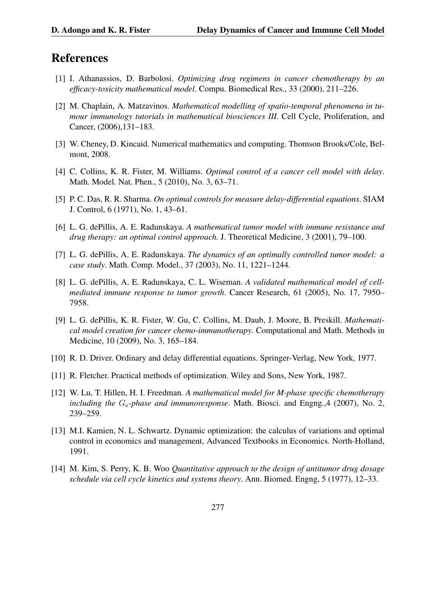## References

- [1] I. Athanassios, D. Barbolosi. *Optimizing drug regimens in cancer chemotherapy by an efficacy-toxicity mathematical model*. Compu. Biomedical Res., 33 (2000), 211–226.
- [2] M. Chaplain, A. Matzavinos. *Mathematical modelling of spatio-temporal phenomena in tumour immunology tutorials in mathematical biosciences III*. Cell Cycle, Proliferation, and Cancer, (2006),131–183.
- [3] W. Cheney, D. Kincaid. Numerical mathematics and computing. Thomson Brooks/Cole, Belmont, 2008.
- [4] C. Collins, K. R. Fister, M. Williams. *Optimal control of a cancer cell model with delay*. Math. Model. Nat. Phen., 5 (2010), No. 3, 63–71.
- [5] P. C. Das, R. R. Sharma. *On optimal controls for measure delay-differential equations*. SIAM J. Control, 6 (1971), No. 1, 43–61.
- [6] L. G. dePillis, A. E. Radunskaya. *A mathematical tumor model with immune resistance and drug therapy: an optimal control approach.* J. Theoretical Medicine, 3 (2001), 79–100.
- [7] L. G. dePillis, A. E. Radunskaya. *The dynamics of an optimally controlled tumor model: a case study*. Math. Comp. Model., 37 (2003), No. 11, 1221–1244.
- [8] L. G. dePillis, A. E. Radunskaya, C. L. Wiseman. *A validated mathematical model of cellmediated immune response to tumor growth*. Cancer Research, 61 (2005), No. 17, 7950– 7958.
- [9] L. G. dePillis, K. R. Fister, W. Gu, C. Collins, M. Daub, J. Moore, B. Preskill. *Mathematical model creation for cancer chemo-immunotherapy*. Computational and Math. Methods in Medicine, 10 (2009), No. 3, 165–184.
- [10] R. D. Driver. Ordinary and delay differential equations. Springer-Verlag, New York, 1977.
- [11] R. Fletcher. Practical methods of optimization. Wiley and Sons, New York, 1987.
- [12] W. Lu, T. Hillen, H. I. Freedman. *A mathematical model for M-phase specific chemotherapy including the Go-phase and immunoresponse*. Math. Biosci. and Engng.,4 (2007), No. 2, 239–259.
- [13] M.I. Kamien, N. L. Schwartz. Dynamic optimization: the calculus of variations and optimal control in economics and management, Advanced Textbooks in Economics. North-Holland, 1991.
- [14] M. Kim, S. Perry, K. B. Woo *Quantitative approach to the design of antitumor drug dosage schedule via cell cycle kinetics and systems theory*. Ann. Biomed. Engng, 5 (1977), 12–33.